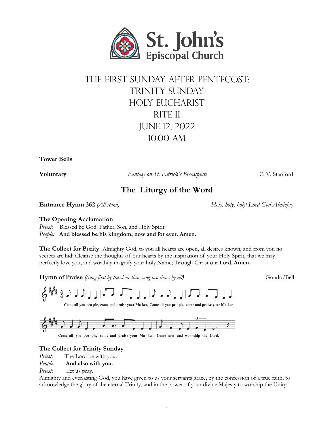

# The first Sunday after Pentecost: TRINITY SUNDAY Holy Eucharist RITE II June 12, 2022 10:00 aM

**Tower Bells**

**Voluntary** *Fantasy on St. Patrick's Breastplate* **C. V. Stanford** C. V. Stanford

## **The Liturgy of the Word**

**Entrance Hymn 362** *(All stand) Holy, holy, holy! Lord God Almighty*

### **The Opening Acclamation**

Priest: Blessed be God: Father, Son, and Holy Spirit. *People:* **And blessed be his kingdom, now and for ever. Amen.**

**The Collect for Purity** Almighty God, to you all hearts are open, all desires known, and from you no secrets are hid: Cleanse the thoughts of our hearts by the inspiration of your Holy Spirit, that we may perfectly love you, and worthily magnify your holy Name; through Christ our Lord. **Amen.**

**Hymn of Praise** *(Sung first by the choir then sung two times by all)* Gondo/Bell





Come all you peo-ple, come and praise your Ma-ker, Come now and wor-ship the Lord.

### **The Collect for Trinity Sunday**

*Priest:* The Lord be with you.

*People:* **And also with you.**

*Priest:* Let us pray.

Almighty and everlasting God, you have given to us your servants grace, by the confession of a true faith, to acknowledge the glory of the eternal Trinity, and in the power of your divine Majesty to worship the Unity: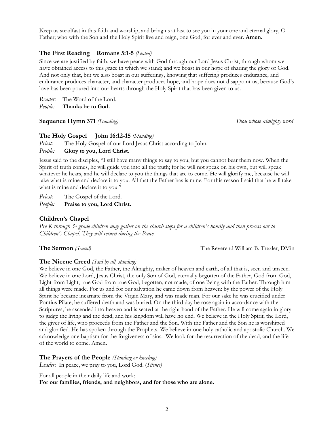Keep us steadfast in this faith and worship, and bring us at last to see you in your one and eternal glory, O Father; who with the Son and the Holy Spirit live and reign, one God, for ever and ever. **Amen.**

#### **The First Reading Romans 5:1-5** *(Seated)*

Since we are justified by faith, we have peace with God through our Lord Jesus Christ, through whom we have obtained access to this grace in which we stand; and we boast in our hope of sharing the glory of God. And not only that, but we also boast in our sufferings, knowing that suffering produces endurance, and endurance produces character, and character produces hope, and hope does not disappoint us, because God's love has been poured into our hearts through the Holy Spirit that has been given to us.

*Reader:* The Word of the Lord. *People:* **Thanks be to God.**

#### **Sequence Hymn 371** *(Standing) Thou whose almighty word*

#### **The Holy Gospel John 16:12-15** *(Standing)*

*Priest:* The Holy Gospel of our Lord Jesus Christ according to John.

#### *People:* **Glory to you, Lord Christ.**

Jesus said to the disciples, "I still have many things to say to you, but you cannot bear them now. When the Spirit of truth comes, he will guide you into all the truth; for he will not speak on his own, but will speak whatever he hears, and he will declare to you the things that are to come. He will glorify me, because he will take what is mine and declare it to you. All that the Father has is mine. For this reason I said that he will take what is mine and declare it to you."

*Priest:* The Gospel of the Lord.

*People:* **Praise to you, Lord Christ.**

#### **Children's Chapel**

Pre-K through  $3<sup>nd</sup>$  grade children may gather on the church steps for a children's homily and then process out to *Children's Chapel. They will return during the Peace.*

**The Sermon** *(Seated)* **The Reverend William B. Trexler, DMin** 

#### **The Nicene Creed** *(Said by all, standing)*

We believe in one God, the Father, the Almighty, maker of heaven and earth, of all that is, seen and unseen. We believe in one Lord, Jesus Christ, the only Son of God, eternally begotten of the Father, God from God, Light from Light, true God from true God, begotten, not made, of one Being with the Father. Through him all things were made. For us and for our salvation he came down from heaven: by the power of the Holy Spirit he became incarnate from the Virgin Mary, and was made man. For our sake he was crucified under Pontius Pilate; he suffered death and was buried. On the third day he rose again in accordance with the Scriptures; he ascended into heaven and is seated at the right hand of the Father. He will come again in glory to judge the living and the dead, and his kingdom will have no end. We believe in the Holy Spirit, the Lord, the giver of life, who proceeds from the Father and the Son. With the Father and the Son he is worshiped and glorified. He has spoken through the Prophets. We believe in one holy catholic and apostolic Church. We acknowledge one baptism for the forgiveness of sins. We look for the resurrection of the dead, and the life of the world to come. Amen**.**

#### **The Prayers of the People** *(Standing or kneeling)*

*Leader:* In peace, we pray to you, Lord God. (*Silence)*

For all people in their daily life and work; **For our families, friends, and neighbors, and for those who are alone.**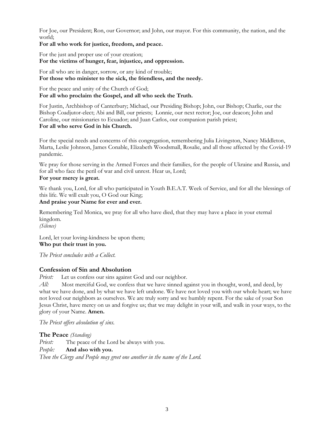For Joe, our President; Ron, our Governor; and John, our mayor. For this community, the nation, and the world;

#### **For all who work for justice, freedom, and peace.**

For the just and proper use of your creation; **For the victims of hunger, fear, injustice, and oppression.**

For all who are in danger, sorrow, or any kind of trouble; **For those who minister to the sick, the friendless, and the needy.**

For the peace and unity of the Church of God; **For all who proclaim the Gospel, and all who seek the Truth.**

For Justin, Archbishop of Canterbury; Michael, our Presiding Bishop; John, our Bishop; Charlie, our the Bishop Coadjutor-elect; Abi and Bill, our priests; Lonnie, our next rector; Joe, our deacon; John and Caroline, our missionaries to Ecuador; and Juan Carlos, our companion parish priest; **For all who serve God in his Church.**

For the special needs and concerns of this congregation, remembering Julia Livingston, Nancy Middleton, Marta, Leslie Johnson, James Conable, Elizabeth Woodsmall, Rosalie, and all those affected by the Covid-19 pandemic.

We pray for those serving in the Armed Forces and their families, for the people of Ukraine and Russia, and for all who face the peril of war and civil unrest. Hear us, Lord; **For your mercy is great.**

We thank you, Lord, for all who participated in Youth B.E.A.T. Week of Service, and for all the blessings of this life. We will exalt you, O God our King;

#### **And praise your Name for ever and ever.**

Remembering Ted Monica, we pray for all who have died, that they may have a place in your eternal kingdom.

*(Silence)*

Lord, let your loving-kindness be upon them; **Who put their trust in you.**

*The Priest concludes with a Collect.*

### **Confession of Sin and Absolution**

*Priest:* Let us confess our sins against God and our neighbor.

All: Most merciful God, we confess that we have sinned against you in thought, word, and deed, by what we have done, and by what we have left undone. We have not loved you with our whole heart; we have not loved our neighbors as ourselves. We are truly sorry and we humbly repent. For the sake of your Son Jesus Christ, have mercy on us and forgive us; that we may delight in your will, and walk in your ways, to the glory of your Name. **Amen.**

*The Priest offers absolution of sins.*

**The Peace** *(Standing) Priest:* The peace of the Lord be always with you. *People:* **And also with you.** *Then the Clergy and People may greet one another in the name of the Lord.*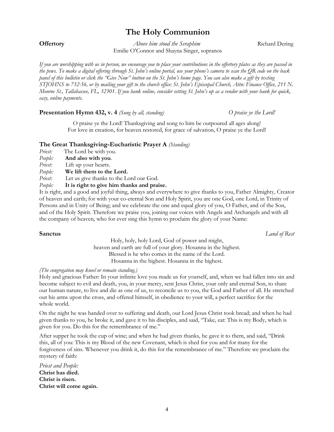## **The Holy Communion**

**Offertory** *Above him stood the Seraphim* **<b>Richard Dering Richard Dering** Emilie O'Connor and Shayna Singer, sopranos

If you are worshipping with us in person, we encourage you to place your contributions in the offertory plates as they are passed in the pews. To make a digital offering through St. John's online portal, use your phone's camera to scan the OR code on the back panel of this bulletin or click the "Give Now" button on the St. John's home page. You can also make a gift by texting STJOHNS to 732-56, or by mailing your gift to the church office: St. John's Episcopal Church, Attn: Finance Office, 211 N. Monroe St., Tallahassee, FL, 32301. If you bank online, consider setting St. John's up as a vendor with your bank for quick, *easy, online payments.*

#### **Presentation Hymn 432, v. 4** *(Sung by all, standing)**O praise ye the Lord!*

O praise ye the Lord! Thanksgiving and song to him be outpoured all ages along! For love in creation, for heaven restored, for grace of salvation, O praise ye the Lord!

#### **The Great Thanksgiving-Eucharistic Prayer A** *(Standing)*

- *Priest:* The Lord be with you.
- *People:* **And also with you**.
- *Priest:* Lift up your hearts.
- *People:* **We lift them to the Lord.**
- *Priest:* Let us give thanks to the Lord our God.
- *People:* **It is right to give him thanks and praise.**

It is right, and a good and joyful thing, always and everywhere to give thanks to you, Father Almighty, Creator of heaven and earth; for with your co-eternal Son and Holy Spirit, you are one God, one Lord, in Trinity of Persons and in Unity of Being; and we celebrate the one and equal glory of you, O Father, and of the Son, and of the Holy Spirit. Therefore we praise you, joining our voices with Angels and Archangels and with all the company of heaven, who for ever sing this hymn to proclaim the glory of your Name:

**Sanctus** *Land of Rest*

Holy, holy, holy Lord, God of power and might, heaven and earth are full of your glory. Hosanna in the highest. Blessed is he who comes in the name of the Lord. Hosanna in the highest. Hosanna in the highest.

### *(The congregation may kneel or remain standing.)*

Holy and gracious Father: In your infinite love you made us for yourself, and, when we had fallen into sin and become subject to evil and death, you, in your mercy, sent Jesus Christ, your only and eternal Son, to share our human nature, to live and die as one of us, to reconcile us to you, the God and Father of all. He stretched out his arms upon the cross, and offered himself, in obedience to your will, a perfect sacrifice for the whole world.

On the night he was handed over to suffering and death, our Lord Jesus Christ took bread; and when he had given thanks to you, he broke it, and gave it to his disciples, and said, "Take, eat: This is my Body, which is given for you. Do this for the remembrance of me."

After supper he took the cup of wine; and when he had given thanks, he gave it to them, and said, "Drink this, all of you: This is my Blood of the new Covenant, which is shed for you and for many for the forgiveness of sins. Whenever you drink it, do this for the remembrance of me." Therefore we proclaim the mystery of faith:

*Priest and People:* **Christ has died. Christ is risen. Christ will come again.**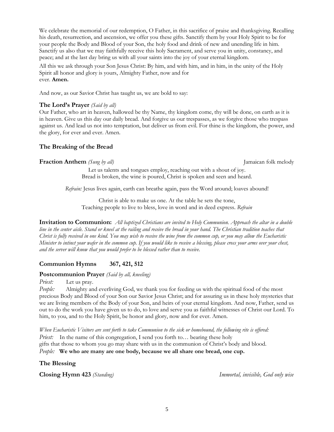We celebrate the memorial of our redemption, O Father, in this sacrifice of praise and thanksgiving. Recalling his death, resurrection, and ascension, we offer you these gifts. Sanctify them by your Holy Spirit to be for your people the Body and Blood of your Son, the holy food and drink of new and unending life in him. Sanctify us also that we may faithfully receive this holy Sacrament, and serve you in unity, constancy, and peace; and at the last day bring us with all your saints into the joy of your eternal kingdom.

All this we ask through your Son Jesus Christ: By him, and with him, and in him, in the unity of the Holy Spirit all honor and glory is yours, Almighty Father, now and for ever. **Amen.**

And now, as our Savior Christ has taught us, we are bold to say:

#### **The Lord's Prayer** *(Said by all)*

Our Father, who art in heaven, hallowed be thy Name, thy kingdom come, thy will be done, on earth as it is in heaven. Give us this day our daily bread. And forgive us our trespasses, as we forgive those who trespass against us. And lead us not into temptation, but deliver us from evil. For thine is the kingdom, the power, and the glory, for ever and ever. Amen.

### **The Breaking of the Bread**

#### **Fraction Anthem** *(Sung by all)* Jamaican folk melody

Let us talents and tongues employ, reaching out with a shout of joy. Bread is broken, the wine is poured, Christ is spoken and seen and heard.

*Refrain:* Jesus lives again, earth can breathe again, pass the Word around; loaves abound!

Christ is able to make us one. At the table he sets the tone, Teaching people to live to bless, love in word and in deed express. *Refrain*

**Invitation to Communion:** All baptized Christians are invited to Holy Communion. Approach the altar in a double line in the center aisle. Stand or kneel at the railing and receive the bread in your hand. The Christian tradition teaches that Christ is fully received in one kind. You may wish to receive the wine from the common cup, or you may allow the Eucharistic Minister to intinct your wafer in the common cup. If you would like to receive a blessing, please cross your arms over your chest, *and the server will know that you would prefer to be blessed rather than to receive.*

### **Communion Hymns 367, 421, 512**

#### **Postcommunion Prayer** *(Said by all, kneeling)*

*Priest:* Let us pray.

*People:* Almighty and everliving God, we thank you for feeding us with the spiritual food of the most precious Body and Blood of your Son our Savior Jesus Christ; and for assuring us in these holy mysteries that we are living members of the Body of your Son, and heirs of your eternal kingdom. And now, Father, send us out to do the work you have given us to do, to love and serve you as faithful witnesses of Christ our Lord. To him, to you, and to the Holy Spirit, be honor and glory, now and for ever. Amen.

When Eucharistic Visitors are sent forth to take Communion to the sick or homebound, the following rite is offered: *Priest:* In the name of this congregation, I send you forth to... bearing these holy gifts that those to whom you go may share with us in the communion of Christ's body and blood. *People:* **We who are many are one body, because we all share one bread, one cup.**

**The Blessing**

**Closing Hymn 423** *(Standing) Immortal, invisible, God only wise*